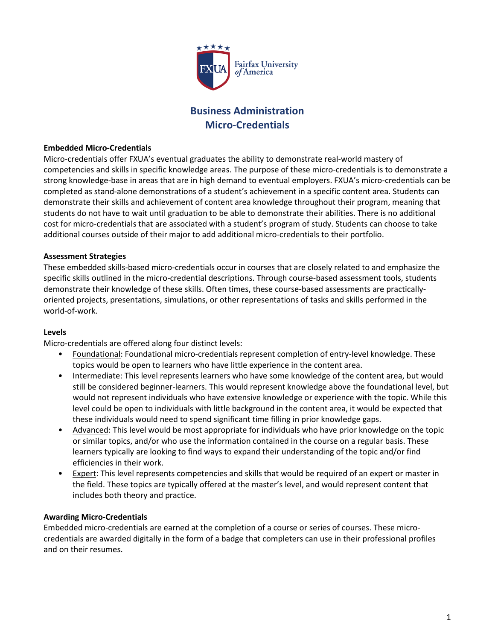

## **Business Administration Micro-Credentials**

#### **Embedded Micro-Credentials**

Micro-credentials offer FXUA's eventual graduates the ability to demonstrate real-world mastery of competencies and skills in specific knowledge areas. The purpose of these micro-credentials is to demonstrate a strong knowledge-base in areas that are in high demand to eventual employers. FXUA's micro-credentials can be completed as stand-alone demonstrations of a student's achievement in a specific content area. Students can demonstrate their skills and achievement of content area knowledge throughout their program, meaning that students do not have to wait until graduation to be able to demonstrate their abilities. There is no additional cost for micro-credentials that are associated with a student's program of study. Students can choose to take additional courses outside of their major to add additional micro-credentials to their portfolio.

#### **Assessment Strategies**

These embedded skills-based micro-credentials occur in courses that are closely related to and emphasize the specific skills outlined in the micro-credential descriptions. Through course-based assessment tools, students demonstrate their knowledge of these skills. Often times, these course-based assessments are practicallyoriented projects, presentations, simulations, or other representations of tasks and skills performed in the world-of-work.

#### **Levels**

Micro-credentials are offered along four distinct levels:

- Foundational: Foundational micro-credentials represent completion of entry-level knowledge. These topics would be open to learners who have little experience in the content area.
- Intermediate: This level represents learners who have some knowledge of the content area, but would still be considered beginner-learners. This would represent knowledge above the foundational level, but would not represent individuals who have extensive knowledge or experience with the topic. While this level could be open to individuals with little background in the content area, it would be expected that these individuals would need to spend significant time filling in prior knowledge gaps.
- Advanced: This level would be most appropriate for individuals who have prior knowledge on the topic or similar topics, and/or who use the information contained in the course on a regular basis. These learners typically are looking to find ways to expand their understanding of the topic and/or find efficiencies in their work.
- **Expert:** This level represents competencies and skills that would be required of an expert or master in the field. These topics are typically offered at the master's level, and would represent content that includes both theory and practice.

#### **Awarding Micro-Credentials**

Embedded micro-credentials are earned at the completion of a course or series of courses. These microcredentials are awarded digitally in the form of a badge that completers can use in their professional profiles and on their resumes.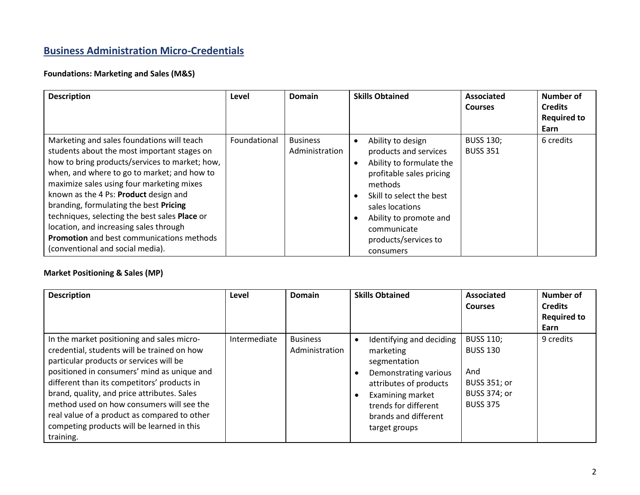# **Business Administration Micro-Credentials**

## **Foundations: Marketing and Sales (M&S)**

| <b>Description</b>                                                                                                                                                                                                                                                                                                                                                                                                                                                                                            | Level        | <b>Domain</b>                     | <b>Skills Obtained</b>                                                                                                                                                                                                                                  | <b>Associated</b><br><b>Courses</b> | Number of<br><b>Credits</b><br><b>Required to</b><br>Earn |
|---------------------------------------------------------------------------------------------------------------------------------------------------------------------------------------------------------------------------------------------------------------------------------------------------------------------------------------------------------------------------------------------------------------------------------------------------------------------------------------------------------------|--------------|-----------------------------------|---------------------------------------------------------------------------------------------------------------------------------------------------------------------------------------------------------------------------------------------------------|-------------------------------------|-----------------------------------------------------------|
| Marketing and sales foundations will teach<br>students about the most important stages on<br>how to bring products/services to market; how,<br>when, and where to go to market; and how to<br>maximize sales using four marketing mixes<br>known as the 4 Ps: Product design and<br>branding, formulating the best Pricing<br>techniques, selecting the best sales Place or<br>location, and increasing sales through<br><b>Promotion</b> and best communications methods<br>(conventional and social media). | Foundational | <b>Business</b><br>Administration | Ability to design<br>$\bullet$<br>products and services<br>Ability to formulate the<br>profitable sales pricing<br>methods<br>Skill to select the best<br>sales locations<br>Ability to promote and<br>communicate<br>products/services to<br>consumers | <b>BUSS 130;</b><br><b>BUSS 351</b> | 6 credits                                                 |

## **Market Positioning & Sales (MP)**

| <b>Description</b>                                                                                                                                                                                                                                                                                                                                                                                                                        | Level        | <b>Domain</b>                     | <b>Skills Obtained</b>                                                                                                                                                                        | Associated<br><b>Courses</b>                                                                  | Number of<br><b>Credits</b><br><b>Required to</b><br>Earn |
|-------------------------------------------------------------------------------------------------------------------------------------------------------------------------------------------------------------------------------------------------------------------------------------------------------------------------------------------------------------------------------------------------------------------------------------------|--------------|-----------------------------------|-----------------------------------------------------------------------------------------------------------------------------------------------------------------------------------------------|-----------------------------------------------------------------------------------------------|-----------------------------------------------------------|
| In the market positioning and sales micro-<br>credential, students will be trained on how<br>particular products or services will be<br>positioned in consumers' mind as unique and<br>different than its competitors' products in<br>brand, quality, and price attributes. Sales<br>method used on how consumers will see the<br>real value of a product as compared to other<br>competing products will be learned in this<br>training. | Intermediate | <b>Business</b><br>Administration | Identifying and deciding<br>marketing<br>segmentation<br>Demonstrating various<br>attributes of products<br>Examining market<br>trends for different<br>brands and different<br>target groups | <b>BUSS 110;</b><br><b>BUSS 130</b><br>And<br>BUSS 351; or<br>BUSS 374; or<br><b>BUSS 375</b> | 9 credits                                                 |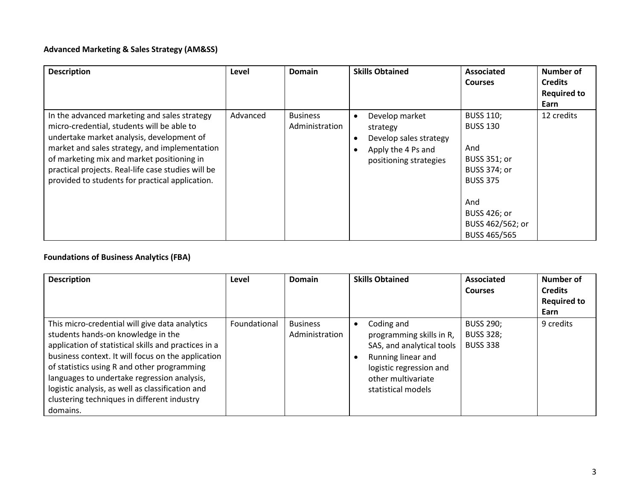### **Advanced Marketing & Sales Strategy (AM&SS)**

| <b>Description</b>                                 | Level    | Domain          | <b>Skills Obtained</b> | <b>Associated</b>   | <b>Number of</b>   |
|----------------------------------------------------|----------|-----------------|------------------------|---------------------|--------------------|
|                                                    |          |                 |                        | <b>Courses</b>      | <b>Credits</b>     |
|                                                    |          |                 |                        |                     | <b>Required to</b> |
|                                                    |          |                 |                        |                     | Earn               |
| In the advanced marketing and sales strategy       | Advanced | <b>Business</b> | Develop market         | <b>BUSS 110;</b>    | 12 credits         |
| micro-credential, students will be able to         |          | Administration  | strategy               | <b>BUSS 130</b>     |                    |
| undertake market analysis, development of          |          |                 | Develop sales strategy |                     |                    |
| market and sales strategy, and implementation      |          |                 | Apply the 4 Ps and     | And                 |                    |
| of marketing mix and market positioning in         |          |                 | positioning strategies | BUSS 351; or        |                    |
| practical projects. Real-life case studies will be |          |                 |                        | <b>BUSS 374; or</b> |                    |
| provided to students for practical application.    |          |                 |                        | <b>BUSS 375</b>     |                    |
|                                                    |          |                 |                        |                     |                    |
|                                                    |          |                 |                        | And                 |                    |
|                                                    |          |                 |                        | BUSS 426; or        |                    |
|                                                    |          |                 |                        | BUSS 462/562; or    |                    |
|                                                    |          |                 |                        | <b>BUSS 465/565</b> |                    |

# **Foundations of Business Analytics (FBA)**

| <b>Description</b>                                                                                                                                                                                                                                                                                                                                                                                              | Level        | Domain                            | <b>Skills Obtained</b>                                                                                                                                                        | <b>Associated</b><br><b>Courses</b>                     | Number of<br><b>Credits</b><br><b>Required to</b> |
|-----------------------------------------------------------------------------------------------------------------------------------------------------------------------------------------------------------------------------------------------------------------------------------------------------------------------------------------------------------------------------------------------------------------|--------------|-----------------------------------|-------------------------------------------------------------------------------------------------------------------------------------------------------------------------------|---------------------------------------------------------|---------------------------------------------------|
| This micro-credential will give data analytics<br>students hands-on knowledge in the<br>application of statistical skills and practices in a<br>business context. It will focus on the application<br>of statistics using R and other programming<br>languages to undertake regression analysis,<br>logistic analysis, as well as classification and<br>clustering techniques in different industry<br>domains. | Foundational | <b>Business</b><br>Administration | Coding and<br>$\bullet$<br>programming skills in R,<br>SAS, and analytical tools<br>Running linear and<br>logistic regression and<br>other multivariate<br>statistical models | <b>BUSS 290;</b><br><b>BUSS 328:</b><br><b>BUSS 338</b> | Earn<br>9 credits                                 |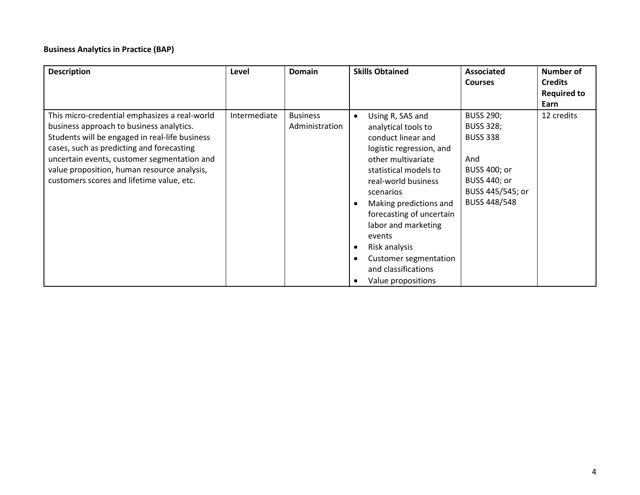#### **Business Analytics in Practice (BAP)**

| <b>Description</b>                                                                                                                                                                                                                                                                                                                  | Level        | <b>Domain</b>                     | <b>Skills Obtained</b>                                                                                                                                                                                                                                                                                                                                            | Associated<br><b>Courses</b>                                                                                                                            | Number of<br><b>Credits</b><br><b>Required to</b><br>Earn |
|-------------------------------------------------------------------------------------------------------------------------------------------------------------------------------------------------------------------------------------------------------------------------------------------------------------------------------------|--------------|-----------------------------------|-------------------------------------------------------------------------------------------------------------------------------------------------------------------------------------------------------------------------------------------------------------------------------------------------------------------------------------------------------------------|---------------------------------------------------------------------------------------------------------------------------------------------------------|-----------------------------------------------------------|
| This micro-credential emphasizes a real-world<br>business approach to business analytics.<br>Students will be engaged in real-life business<br>cases, such as predicting and forecasting<br>uncertain events, customer segmentation and<br>value proposition, human resource analysis,<br>customers scores and lifetime value, etc. | Intermediate | <b>Business</b><br>Administration | Using R, SAS and<br>analytical tools to<br>conduct linear and<br>logistic regression, and<br>other multivariate<br>statistical models to<br>real-world business<br>scenarios<br>Making predictions and<br>forecasting of uncertain<br>labor and marketing<br>events<br>Risk analysis<br><b>Customer segmentation</b><br>and classifications<br>Value propositions | <b>BUSS 290;</b><br><b>BUSS 328;</b><br><b>BUSS 338</b><br>And<br><b>BUSS 400; or</b><br><b>BUSS 440; or</b><br>BUSS 445/545; or<br><b>BUSS 448/548</b> | 12 credits                                                |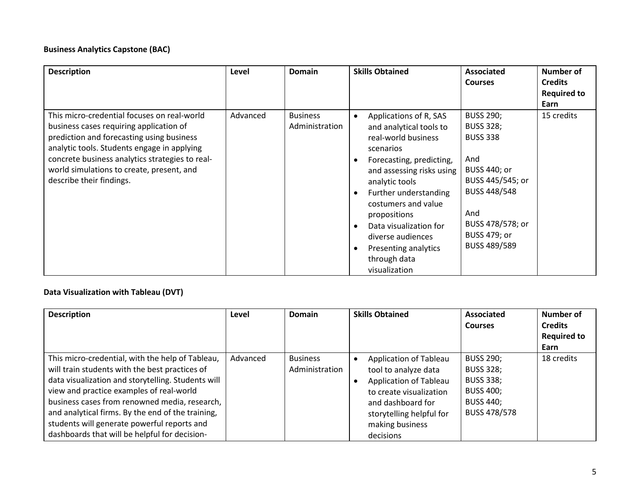#### **Business Analytics Capstone (BAC)**

| <b>Description</b>                                                                                                                                                                                                                                                                                             | Level    | <b>Domain</b>                     | <b>Skills Obtained</b>                                                                                                                                                                                                                                                                                                                                             | Associated<br><b>Courses</b>                                                                                                                                                                       | Number of<br><b>Credits</b><br><b>Required to</b><br>Earn |
|----------------------------------------------------------------------------------------------------------------------------------------------------------------------------------------------------------------------------------------------------------------------------------------------------------------|----------|-----------------------------------|--------------------------------------------------------------------------------------------------------------------------------------------------------------------------------------------------------------------------------------------------------------------------------------------------------------------------------------------------------------------|----------------------------------------------------------------------------------------------------------------------------------------------------------------------------------------------------|-----------------------------------------------------------|
| This micro-credential focuses on real-world<br>business cases requiring application of<br>prediction and forecasting using business<br>analytic tools. Students engage in applying<br>concrete business analytics strategies to real-<br>world simulations to create, present, and<br>describe their findings. | Advanced | <b>Business</b><br>Administration | Applications of R, SAS<br>$\bullet$<br>and analytical tools to<br>real-world business<br>scenarios<br>Forecasting, predicting,<br>and assessing risks using<br>analytic tools<br>Further understanding<br>$\bullet$<br>costumers and value<br>propositions<br>Data visualization for<br>diverse audiences<br>Presenting analytics<br>through data<br>visualization | <b>BUSS 290;</b><br><b>BUSS 328;</b><br><b>BUSS 338</b><br>And<br><b>BUSS 440; or</b><br>BUSS 445/545; or<br><b>BUSS 448/548</b><br>And<br>BUSS 478/578; or<br><b>BUSS 479; or</b><br>BUSS 489/589 | 15 credits                                                |

### **Data Visualization with Tableau (DVT)**

| <b>Description</b>                                                                                                                                                                                                                                                                                                                                                                                         | Level    | <b>Domain</b>                     | <b>Skills Obtained</b>                                                                                                                                                                             | <b>Associated</b><br><b>Courses</b>                                                                                     | Number of<br><b>Credits</b><br><b>Required to</b><br>Earn |
|------------------------------------------------------------------------------------------------------------------------------------------------------------------------------------------------------------------------------------------------------------------------------------------------------------------------------------------------------------------------------------------------------------|----------|-----------------------------------|----------------------------------------------------------------------------------------------------------------------------------------------------------------------------------------------------|-------------------------------------------------------------------------------------------------------------------------|-----------------------------------------------------------|
| This micro-credential, with the help of Tableau,<br>will train students with the best practices of<br>data visualization and storytelling. Students will<br>view and practice examples of real-world<br>business cases from renowned media, research,<br>and analytical firms. By the end of the training,<br>students will generate powerful reports and<br>dashboards that will be helpful for decision- | Advanced | <b>Business</b><br>Administration | <b>Application of Tableau</b><br>tool to analyze data<br><b>Application of Tableau</b><br>to create visualization<br>and dashboard for<br>storytelling helpful for<br>making business<br>decisions | <b>BUSS 290;</b><br><b>BUSS 328;</b><br><b>BUSS 338;</b><br><b>BUSS 400;</b><br><b>BUSS 440;</b><br><b>BUSS 478/578</b> | 18 credits                                                |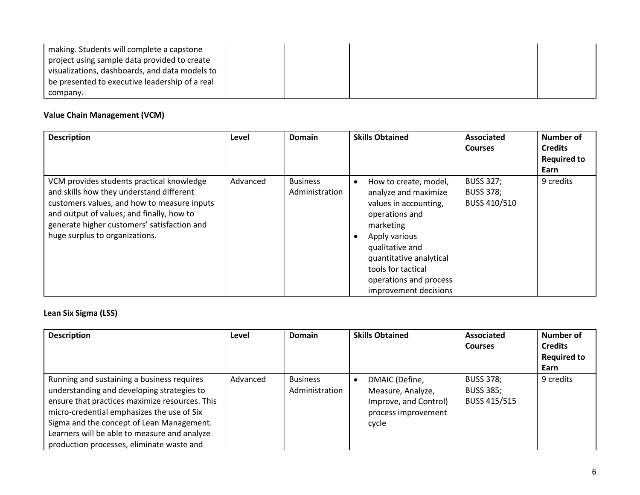| making. Students will complete a capstone      |  |  |  |
|------------------------------------------------|--|--|--|
| project using sample data provided to create   |  |  |  |
| visualizations, dashboards, and data models to |  |  |  |
| be presented to executive leadership of a real |  |  |  |
| company.                                       |  |  |  |

## **Value Chain Management (VCM)**

| <b>Description</b>                                                                                                                                                                                                                                                 | Level    | <b>Domain</b>                     | <b>Skills Obtained</b>                                                                                                                                                                                                                        | <b>Associated</b><br><b>Courses</b>                  | Number of<br><b>Credits</b><br><b>Required to</b><br>Earn |
|--------------------------------------------------------------------------------------------------------------------------------------------------------------------------------------------------------------------------------------------------------------------|----------|-----------------------------------|-----------------------------------------------------------------------------------------------------------------------------------------------------------------------------------------------------------------------------------------------|------------------------------------------------------|-----------------------------------------------------------|
| VCM provides students practical knowledge<br>and skills how they understand different<br>customers values, and how to measure inputs<br>and output of values; and finally, how to<br>generate higher customers' satisfaction and<br>huge surplus to organizations. | Advanced | <b>Business</b><br>Administration | How to create, model,<br>analyze and maximize<br>values in accounting,<br>operations and<br>marketing<br>Apply various<br>qualitative and<br>quantitative analytical<br>tools for tactical<br>operations and process<br>improvement decisions | <b>BUSS 327;</b><br><b>BUSS 378;</b><br>BUSS 410/510 | 9 credits                                                 |

#### **Lean Six Sigma (LSS)**

| <b>Description</b>                                                                                                                                                                                                                                                                                                                 | Level    | Domain                            | <b>Skills Obtained</b>                                                                       | <b>Associated</b><br><b>Courses</b>                  | Number of<br><b>Credits</b><br><b>Required to</b><br>Earn |
|------------------------------------------------------------------------------------------------------------------------------------------------------------------------------------------------------------------------------------------------------------------------------------------------------------------------------------|----------|-----------------------------------|----------------------------------------------------------------------------------------------|------------------------------------------------------|-----------------------------------------------------------|
| Running and sustaining a business requires<br>understanding and developing strategies to<br>ensure that practices maximize resources. This<br>micro-credential emphasizes the use of Six<br>Sigma and the concept of Lean Management.<br>Learners will be able to measure and analyze<br>production processes, eliminate waste and | Advanced | <b>Business</b><br>Administration | DMAIC (Define,<br>Measure, Analyze,<br>Improve, and Control)<br>process improvement<br>cycle | <b>BUSS 378;</b><br><b>BUSS 385;</b><br>BUSS 415/515 | 9 credits                                                 |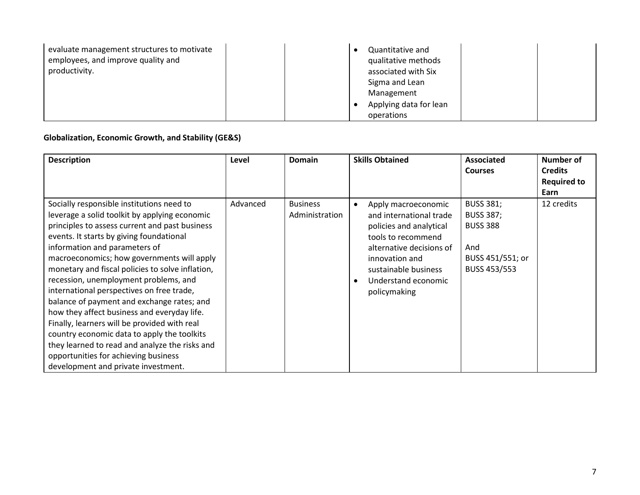| evaluate management structures to motivate<br>employees, and improve quality and | Quantitative and<br>qualitative methods |
|----------------------------------------------------------------------------------|-----------------------------------------|
| productivity.                                                                    | associated with Six                     |
|                                                                                  | Sigma and Lean                          |
|                                                                                  | Management                              |
|                                                                                  | Applying data for lean                  |
|                                                                                  | operations                              |

## **Globalization, Economic Growth, and Stability (GE&S)**

| <b>Description</b>                                                                                                                                                                                                                                                                                                                                                                                                                                                                                                                                                                                                                                                                                                                             | Level    | <b>Domain</b>                     | <b>Skills Obtained</b>                                                                                                                                                                                       | <b>Associated</b><br><b>Courses</b>                                                                | Number of<br><b>Credits</b><br><b>Required to</b><br>Earn |
|------------------------------------------------------------------------------------------------------------------------------------------------------------------------------------------------------------------------------------------------------------------------------------------------------------------------------------------------------------------------------------------------------------------------------------------------------------------------------------------------------------------------------------------------------------------------------------------------------------------------------------------------------------------------------------------------------------------------------------------------|----------|-----------------------------------|--------------------------------------------------------------------------------------------------------------------------------------------------------------------------------------------------------------|----------------------------------------------------------------------------------------------------|-----------------------------------------------------------|
| Socially responsible institutions need to<br>leverage a solid toolkit by applying economic<br>principles to assess current and past business<br>events. It starts by giving foundational<br>information and parameters of<br>macroeconomics; how governments will apply<br>monetary and fiscal policies to solve inflation,<br>recession, unemployment problems, and<br>international perspectives on free trade,<br>balance of payment and exchange rates; and<br>how they affect business and everyday life.<br>Finally, learners will be provided with real<br>country economic data to apply the toolkits<br>they learned to read and analyze the risks and<br>opportunities for achieving business<br>development and private investment. | Advanced | <b>Business</b><br>Administration | Apply macroeconomic<br>and international trade<br>policies and analytical<br>tools to recommend<br>alternative decisions of<br>innovation and<br>sustainable business<br>Understand economic<br>policymaking | <b>BUSS 381;</b><br><b>BUSS 387;</b><br><b>BUSS 388</b><br>And<br>BUSS 451/551; or<br>BUSS 453/553 | 12 credits                                                |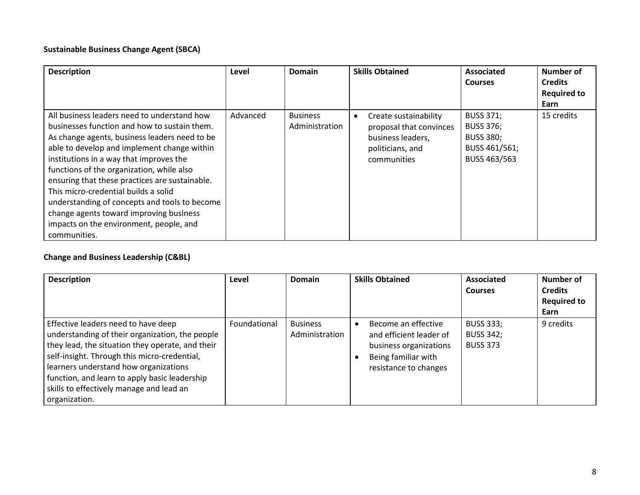#### **Sustainable Business Change Agent (SBCA)**

| <b>Description</b>                             | Level    | Domain          | <b>Skills Obtained</b>  | <b>Associated</b> | Number of          |
|------------------------------------------------|----------|-----------------|-------------------------|-------------------|--------------------|
|                                                |          |                 |                         | <b>Courses</b>    | <b>Credits</b>     |
|                                                |          |                 |                         |                   | <b>Required to</b> |
|                                                |          |                 |                         |                   | Earn               |
| All business leaders need to understand how    | Advanced | <b>Business</b> | Create sustainability   | <b>BUSS 371;</b>  | 15 credits         |
| businesses function and how to sustain them.   |          | Administration  | proposal that convinces | <b>BUSS 376;</b>  |                    |
| As change agents, business leaders need to be  |          |                 | business leaders,       | <b>BUSS 380;</b>  |                    |
| able to develop and implement change within    |          |                 | politicians, and        | BUSS 461/561;     |                    |
| institutions in a way that improves the        |          |                 | communities             | BUSS 463/563      |                    |
| functions of the organization, while also      |          |                 |                         |                   |                    |
| ensuring that these practices are sustainable. |          |                 |                         |                   |                    |
| This micro-credential builds a solid           |          |                 |                         |                   |                    |
| understanding of concepts and tools to become  |          |                 |                         |                   |                    |
| change agents toward improving business        |          |                 |                         |                   |                    |
| impacts on the environment, people, and        |          |                 |                         |                   |                    |
| communities.                                   |          |                 |                         |                   |                    |

## **Change and Business Leadership (C&BL)**

| <b>Description</b>                                                                                                                                                                                                                                                                                                                                | Level        | Domain                            | <b>Skills Obtained</b>                                                                                                   | Associated<br><b>Courses</b>                            | Number of<br><b>Credits</b><br><b>Required to</b><br>Earn |
|---------------------------------------------------------------------------------------------------------------------------------------------------------------------------------------------------------------------------------------------------------------------------------------------------------------------------------------------------|--------------|-----------------------------------|--------------------------------------------------------------------------------------------------------------------------|---------------------------------------------------------|-----------------------------------------------------------|
| Effective leaders need to have deep<br>understanding of their organization, the people<br>they lead, the situation they operate, and their<br>self-insight. Through this micro-credential,<br>learners understand how organizations<br>function, and learn to apply basic leadership<br>skills to effectively manage and lead an<br>organization. | Foundational | <b>Business</b><br>Administration | Become an effective<br>and efficient leader of<br>business organizations<br>Being familiar with<br>resistance to changes | <b>BUSS 333;</b><br><b>BUSS 342;</b><br><b>BUSS 373</b> | 9 credits                                                 |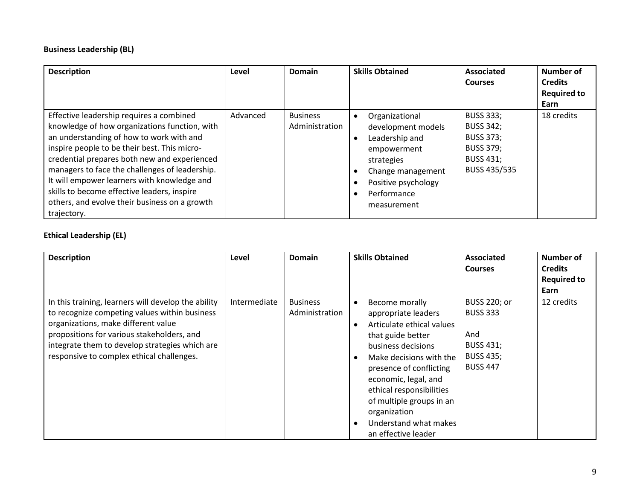## **Business Leadership (BL)**

| <b>Description</b>                                                                                                                                                                                                                                                                                                                                                                                                                                    | Level    | <b>Domain</b>                     | <b>Skills Obtained</b>                                                                                                                                        | Associated<br><b>Courses</b>                                                                                     | <b>Number of</b><br><b>Credits</b><br><b>Required to</b><br>Earn |
|-------------------------------------------------------------------------------------------------------------------------------------------------------------------------------------------------------------------------------------------------------------------------------------------------------------------------------------------------------------------------------------------------------------------------------------------------------|----------|-----------------------------------|---------------------------------------------------------------------------------------------------------------------------------------------------------------|------------------------------------------------------------------------------------------------------------------|------------------------------------------------------------------|
| Effective leadership requires a combined<br>knowledge of how organizations function, with<br>an understanding of how to work with and<br>inspire people to be their best. This micro-<br>credential prepares both new and experienced<br>managers to face the challenges of leadership.<br>It will empower learners with knowledge and<br>skills to become effective leaders, inspire<br>others, and evolve their business on a growth<br>trajectory. | Advanced | <b>Business</b><br>Administration | Organizational<br>development models<br>Leadership and<br>empowerment<br>strategies<br>Change management<br>Positive psychology<br>Performance<br>measurement | <b>BUSS 333;</b><br><b>BUSS 342;</b><br><b>BUSS 373;</b><br><b>BUSS 379;</b><br><b>BUSS 431;</b><br>BUSS 435/535 | 18 credits                                                       |

## **Ethical Leadership (EL)**

| <b>Description</b>                                                                                                                                                                                                                                                                       | Level        | Domain                            | <b>Skills Obtained</b>                                                                                                                                                                                                                                                                                                           | <b>Associated</b><br><b>Courses</b>                                                                      | Number of<br><b>Credits</b><br><b>Required to</b><br>Earn |
|------------------------------------------------------------------------------------------------------------------------------------------------------------------------------------------------------------------------------------------------------------------------------------------|--------------|-----------------------------------|----------------------------------------------------------------------------------------------------------------------------------------------------------------------------------------------------------------------------------------------------------------------------------------------------------------------------------|----------------------------------------------------------------------------------------------------------|-----------------------------------------------------------|
| In this training, learners will develop the ability<br>to recognize competing values within business<br>organizations, make different value<br>propositions for various stakeholders, and<br>integrate them to develop strategies which are<br>responsive to complex ethical challenges. | Intermediate | <b>Business</b><br>Administration | Become morally<br>$\bullet$<br>appropriate leaders<br>Articulate ethical values<br>that guide better<br>business decisions<br>Make decisions with the<br>presence of conflicting<br>economic, legal, and<br>ethical responsibilities<br>of multiple groups in an<br>organization<br>Understand what makes<br>an effective leader | <b>BUSS 220; or</b><br><b>BUSS 333</b><br>And<br><b>BUSS 431;</b><br><b>BUSS 435;</b><br><b>BUSS 447</b> | 12 credits                                                |